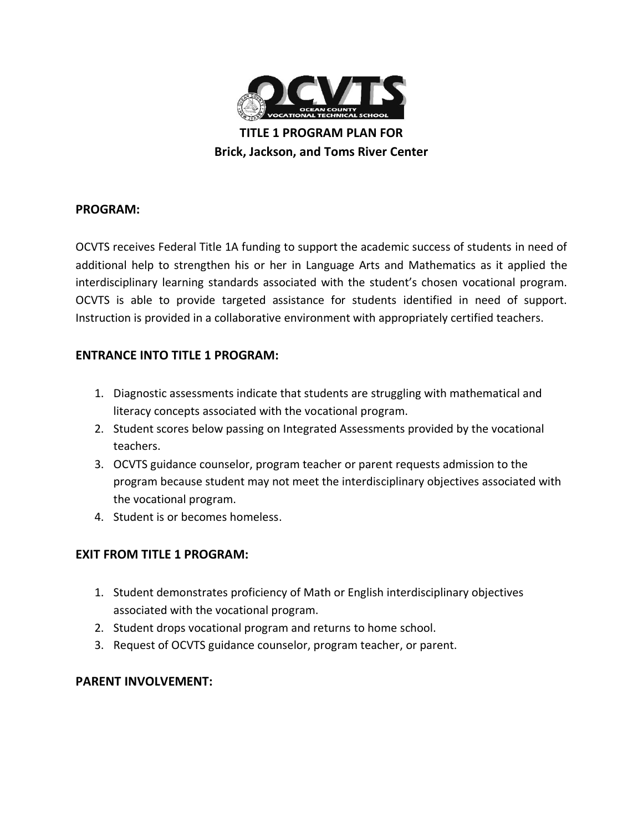

**TITLE 1 PROGRAM PLAN FOR Brick, Jackson, and Toms River Center**

## **PROGRAM:**

OCVTS receives Federal Title 1A funding to support the academic success of students in need of additional help to strengthen his or her in Language Arts and Mathematics as it applied the interdisciplinary learning standards associated with the student's chosen vocational program. OCVTS is able to provide targeted assistance for students identified in need of support. Instruction is provided in a collaborative environment with appropriately certified teachers.

## **ENTRANCE INTO TITLE 1 PROGRAM:**

- 1. Diagnostic assessments indicate that students are struggling with mathematical and literacy concepts associated with the vocational program.
- 2. Student scores below passing on Integrated Assessments provided by the vocational teachers.
- 3. OCVTS guidance counselor, program teacher or parent requests admission to the program because student may not meet the interdisciplinary objectives associated with the vocational program.
- 4. Student is or becomes homeless.

## **EXIT FROM TITLE 1 PROGRAM:**

- 1. Student demonstrates proficiency of Math or English interdisciplinary objectives associated with the vocational program.
- 2. Student drops vocational program and returns to home school.
- 3. Request of OCVTS guidance counselor, program teacher, or parent.

## **PARENT INVOLVEMENT:**